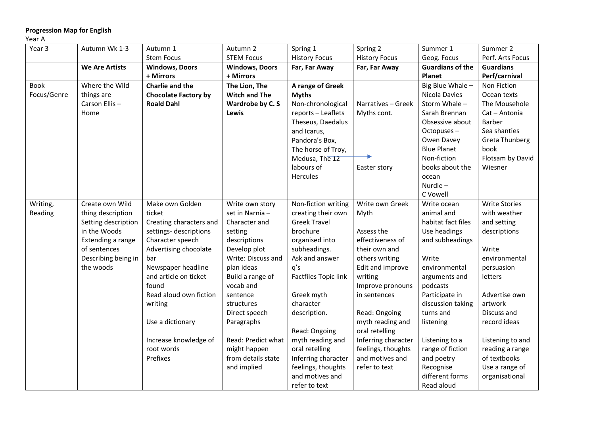## **Progression Map for English**

## Year A

| Year 3      | Autumn Wk 1-3         | Autumn 1                    | Autumn 2              | Spring 1                    | Spring 2             | Summer 1                | Summer 2             |
|-------------|-----------------------|-----------------------------|-----------------------|-----------------------------|----------------------|-------------------------|----------------------|
|             |                       | <b>Stem Focus</b>           | <b>STEM Focus</b>     | <b>History Focus</b>        | <b>History Focus</b> | Geog. Focus             | Perf. Arts Focus     |
|             | <b>We Are Artists</b> | <b>Windows, Doors</b>       | <b>Windows, Doors</b> | Far, Far Away               | Far, Far Away        | <b>Guardians of the</b> | <b>Guardians</b>     |
|             |                       | + Mirrors                   | + Mirrors             |                             |                      | Planet                  | Perf/carnival        |
| <b>Book</b> | Where the Wild        | Charlie and the             | The Lion, The         | A range of Greek            |                      | Big Blue Whale -        | Non Fiction          |
| Focus/Genre | things are            | <b>Chocolate Factory by</b> | <b>Witch and The</b>  | <b>Myths</b>                |                      | Nicola Davies           | Ocean texts          |
|             | Carson Ellis-         | <b>Roald Dahl</b>           | Wardrobe by C. S      | Non-chronological           | Narratives - Greek   | Storm Whale -           | The Mousehole        |
|             | Home                  |                             | Lewis                 | reports - Leaflets          | Myths cont.          | Sarah Brennan           | Cat - Antonia        |
|             |                       |                             |                       | Theseus, Daedalus           |                      | Obsessive about         | <b>Barber</b>        |
|             |                       |                             |                       | and Icarus,                 |                      | Octopuses-              | Sea shanties         |
|             |                       |                             |                       | Pandora's Box,              |                      | Owen Davey              | Greta Thunberg       |
|             |                       |                             |                       | The horse of Troy,          |                      | <b>Blue Planet</b>      | book                 |
|             |                       |                             |                       | Medusa, The 12              |                      | Non-fiction             | Flotsam by David     |
|             |                       |                             |                       | labours of                  | Easter story         | books about the         | Wiesner              |
|             |                       |                             |                       | Hercules                    |                      | ocean                   |                      |
|             |                       |                             |                       |                             |                      | Nurdle $-$              |                      |
|             |                       |                             |                       |                             |                      | C Vowell                |                      |
| Writing,    | Create own Wild       | Make own Golden             | Write own story       | Non-fiction writing         | Write own Greek      | Write ocean             | <b>Write Stories</b> |
| Reading     | thing description     | ticket                      | set in Narnia-        | creating their own          | Myth                 | animal and              | with weather         |
|             | Setting description   | Creating characters and     | Character and         | <b>Greek Travel</b>         |                      | habitat fact files      | and setting          |
|             | in the Woods          | settings- descriptions      | setting               | brochure                    | Assess the           | Use headings            | descriptions         |
|             | Extending a range     | Character speech            | descriptions          | organised into              | effectiveness of     | and subheadings         |                      |
|             | of sentences          | Advertising chocolate       | Develop plot          | subheadings.                | their own and        |                         | Write                |
|             | Describing being in   | bar                         | Write: Discuss and    | Ask and answer              | others writing       | Write                   | environmental        |
|             | the woods             | Newspaper headline          | plan ideas            | q's                         | Edit and improve     | environmental           | persuasion           |
|             |                       | and article on ticket       | Build a range of      | <b>Factfiles Topic link</b> | writing              | arguments and           | letters              |
|             |                       | found                       | vocab and             |                             | Improve pronouns     | podcasts                |                      |
|             |                       | Read aloud own fiction      | sentence              | Greek myth                  | in sentences         | Participate in          | Advertise own        |
|             |                       | writing                     | structures            | character                   |                      | discussion taking       | artwork              |
|             |                       |                             | Direct speech         | description.                | Read: Ongoing        | turns and               | Discuss and          |
|             |                       | Use a dictionary            | Paragraphs            |                             | myth reading and     | listening               | record ideas         |
|             |                       |                             |                       | Read: Ongoing               | oral retelling       |                         |                      |
|             |                       | Increase knowledge of       | Read: Predict what    | myth reading and            | Inferring character  | Listening to a          | Listening to and     |
|             |                       | root words                  | might happen          | oral retelling              | feelings, thoughts   | range of fiction        | reading a range      |
|             |                       | Prefixes                    | from details state    | Inferring character         | and motives and      | and poetry              | of textbooks         |
|             |                       |                             | and implied           | feelings, thoughts          | refer to text        | Recognise               | Use a range of       |
|             |                       |                             |                       | and motives and             |                      | different forms         | organisational       |
|             |                       |                             |                       | refer to text               |                      | Read aloud              |                      |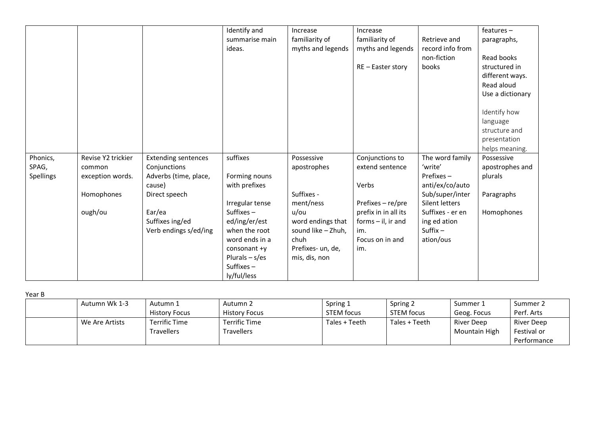|           |                    |                            | Identify and     | Increase           | Increase             |                  | $features -$     |
|-----------|--------------------|----------------------------|------------------|--------------------|----------------------|------------------|------------------|
|           |                    |                            | summarise main   | familiarity of     | familiarity of       | Retrieve and     | paragraphs,      |
|           |                    |                            | ideas.           | myths and legends  | myths and legends    | record info from |                  |
|           |                    |                            |                  |                    |                      | non-fiction      | Read books       |
|           |                    |                            |                  |                    | $RE - Easter story$  | books            | structured in    |
|           |                    |                            |                  |                    |                      |                  | different ways.  |
|           |                    |                            |                  |                    |                      |                  | Read aloud       |
|           |                    |                            |                  |                    |                      |                  | Use a dictionary |
|           |                    |                            |                  |                    |                      |                  |                  |
|           |                    |                            |                  |                    |                      |                  | Identify how     |
|           |                    |                            |                  |                    |                      |                  | language         |
|           |                    |                            |                  |                    |                      |                  | structure and    |
|           |                    |                            |                  |                    |                      |                  | presentation     |
|           |                    |                            |                  |                    |                      |                  | helps meaning.   |
| Phonics,  | Revise Y2 trickier | <b>Extending sentences</b> | suffixes         | Possessive         | Conjunctions to      | The word family  | Possessive       |
| SPAG,     | common             | Conjunctions               |                  | apostrophes        | extend sentence      | 'write'          | apostrophes and  |
| Spellings | exception words.   | Adverbs (time, place,      | Forming nouns    |                    |                      | Prefixes-        | plurals          |
|           |                    | cause)                     | with prefixes    |                    | Verbs                | anti/ex/co/auto  |                  |
|           | Homophones         | Direct speech              |                  | Suffixes -         |                      | Sub/super/inter  | Paragraphs       |
|           |                    |                            | Irregular tense  | ment/ness          | Prefixes $-$ re/pre  | Silent letters   |                  |
|           | ough/ou            | Ear/ea                     | Suffixes $-$     | u/ou               | prefix in in all its | Suffixes - er en | Homophones       |
|           |                    | Suffixes ing/ed            | ed/ing/er/est    | word endings that  | forms $-$ il, ir and | ing ed ation     |                  |
|           |                    | Verb endings s/ed/ing      | when the root    | sound like - Zhuh, | im.                  | Suffix $-$       |                  |
|           |                    |                            | word ends in a   | chuh               | Focus on in and      | ation/ous        |                  |
|           |                    |                            | consonant $+y$   | Prefixes- un, de,  | im.                  |                  |                  |
|           |                    |                            | Plurals $- s/es$ | mis, dis, non      |                      |                  |                  |
|           |                    |                            | Suffixes $-$     |                    |                      |                  |                  |
|           |                    |                            | ly/ful/less      |                    |                      |                  |                  |

Year B

| Autumn Wk 1-3  | Autumn 1             | Autumn 2             | Spring 1      | Spring 2          | Summer 1      | Summer 2    |
|----------------|----------------------|----------------------|---------------|-------------------|---------------|-------------|
|                | <b>History Focus</b> | <b>History Focus</b> | STEM focus    | <b>STEM focus</b> | Geog. Focus   | Perf. Arts  |
| We Are Artists | Terrific Time        | Terrific Time        | Tales + Teeth | Tales + Teeth     | River Deep    | River Deep  |
|                | <b>Travellers</b>    | <b>Travellers</b>    |               |                   | Mountain High | Festival or |
|                |                      |                      |               |                   |               | Performance |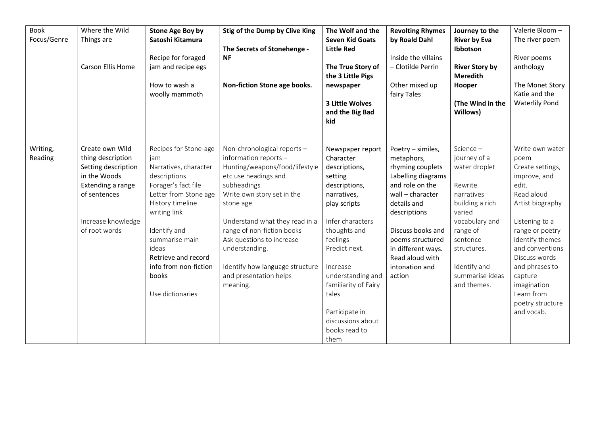| <b>Book</b><br>Focus/Genre | Where the Wild<br>Things are<br>Carson Ellis Home                                                                                                       | <b>Stone Age Boy by</b><br>Satoshi Kitamura<br>Recipe for foraged<br>jam and recipe egs<br>How to wash a<br>woolly mammoth                                                                                                                                                        | Stig of the Dump by Clive King<br>The Secrets of Stonehenge -<br><b>NF</b><br>Non-fiction Stone age books.                                                                                                                                                                                                                                                       | The Wolf and the<br><b>Seven Kid Goats</b><br><b>Little Red</b><br>The True Story of<br>the 3 Little Pigs<br>newspaper<br>3 Little Wolves<br>and the Big Bad<br>kid                                                                                                                                  | <b>Revolting Rhymes</b><br>by Roald Dahl<br>Inside the villains<br>- Clotilde Perrin<br>Other mixed up<br>fairy Tales                                                                                                                                         | Journey to the<br><b>River by Eva</b><br>Ibbotson<br><b>River Story by</b><br><b>Meredith</b><br>Hooper<br>(The Wind in the<br>Willows)                                                                     | Valerie Bloom-<br>The river poem<br>River poems<br>anthology<br>The Monet Story<br>Katie and the<br><b>Waterlily Pond</b>                                                                                                                                                                      |
|----------------------------|---------------------------------------------------------------------------------------------------------------------------------------------------------|-----------------------------------------------------------------------------------------------------------------------------------------------------------------------------------------------------------------------------------------------------------------------------------|------------------------------------------------------------------------------------------------------------------------------------------------------------------------------------------------------------------------------------------------------------------------------------------------------------------------------------------------------------------|------------------------------------------------------------------------------------------------------------------------------------------------------------------------------------------------------------------------------------------------------------------------------------------------------|---------------------------------------------------------------------------------------------------------------------------------------------------------------------------------------------------------------------------------------------------------------|-------------------------------------------------------------------------------------------------------------------------------------------------------------------------------------------------------------|------------------------------------------------------------------------------------------------------------------------------------------------------------------------------------------------------------------------------------------------------------------------------------------------|
| Writing,<br>Reading        | Create own Wild<br>thing description<br>Setting description<br>in the Woods<br>Extending a range<br>of sentences<br>Increase knowledge<br>of root words | Recipes for Stone-age<br>jam<br>Narratives, character<br>descriptions<br>Forager's fact file<br>Letter from Stone age<br>History timeline<br>writing link<br>Identify and<br>summarise main<br>ideas<br>Retrieve and record<br>info from non-fiction<br>books<br>Use dictionaries | Non-chronological reports -<br>information reports -<br>Hunting/weapons/food/lifestyle<br>etc use headings and<br>subheadings<br>Write own story set in the<br>stone age<br>Understand what they read in a<br>range of non-fiction books<br>Ask questions to increase<br>understanding.<br>Identify how language structure<br>and presentation helps<br>meaning. | Newspaper report<br>Character<br>descriptions,<br>setting<br>descriptions,<br>narratives,<br>play scripts<br>Infer characters<br>thoughts and<br>feelings<br>Predict next.<br>Increase<br>understanding and<br>familiarity of Fairy<br>tales<br>Participate in<br>discussions about<br>books read to | Poetry - similes,<br>metaphors,<br>rhyming couplets<br>Labelling diagrams<br>and role on the<br>wall - character<br>details and<br>descriptions<br>Discuss books and<br>poems structured<br>in different ways.<br>Read aloud with<br>intonation and<br>action | Science -<br>journey of a<br>water droplet<br>Rewrite<br>narratives<br>building a rich<br>varied<br>vocabulary and<br>range of<br>sentence<br>structures.<br>Identify and<br>summarise ideas<br>and themes. | Write own water<br>poem<br>Create settings,<br>improve, and<br>edit.<br>Read aloud<br>Artist biography<br>Listening to a<br>range or poetry<br>identify themes<br>and conventions<br>Discuss words<br>and phrases to<br>capture<br>imagination<br>Learn from<br>poetry structure<br>and vocab. |